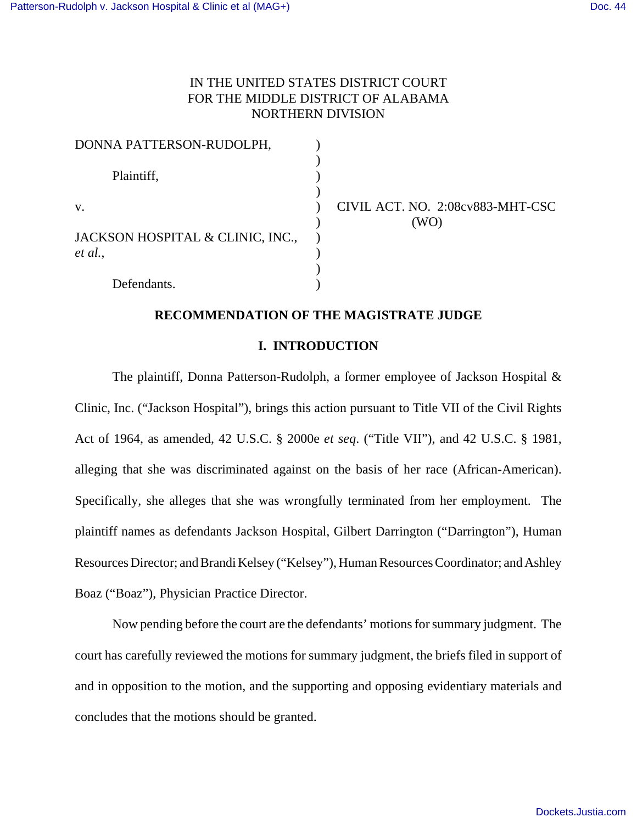# IN THE UNITED STATES DISTRICT COURT FOR THE MIDDLE DISTRICT OF ALABAMA NORTHERN DIVISION

| DONNA PATTERSON-RUDOLPH,                    |  |
|---------------------------------------------|--|
| Plaintiff,                                  |  |
| $V_{\cdot}$                                 |  |
| JACKSON HOSPITAL & CLINIC, INC.,<br>et al., |  |
| Defendants.                                 |  |

v. ) CIVIL ACT. NO. 2:08cv883-MHT-CSC ) (WO)

## **RECOMMENDATION OF THE MAGISTRATE JUDGE**

## **I. INTRODUCTION**

The plaintiff, Donna Patterson-Rudolph, a former employee of Jackson Hospital & Clinic, Inc. ("Jackson Hospital"), brings this action pursuant to Title VII of the Civil Rights Act of 1964, as amended, 42 U.S.C. § 2000e *et seq*. ("Title VII"), and 42 U.S.C. § 1981, alleging that she was discriminated against on the basis of her race (African-American). Specifically, she alleges that she was wrongfully terminated from her employment. The plaintiff names as defendants Jackson Hospital, Gilbert Darrington ("Darrington"), Human Resources Director; and Brandi Kelsey ("Kelsey"), Human Resources Coordinator; and Ashley Boaz ("Boaz"), Physician Practice Director.

Now pending before the court are the defendants' motions for summary judgment. The court has carefully reviewed the motions for summary judgment, the briefs filed in support of and in opposition to the motion, and the supporting and opposing evidentiary materials and concludes that the motions should be granted.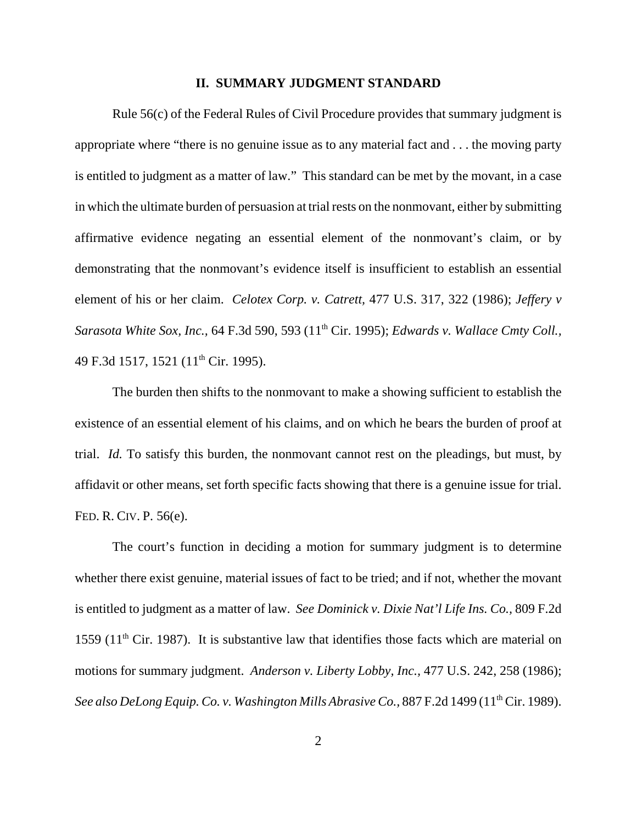#### **II. SUMMARY JUDGMENT STANDARD**

Rule 56(c) of the Federal Rules of Civil Procedure provides that summary judgment is appropriate where "there is no genuine issue as to any material fact and . . . the moving party is entitled to judgment as a matter of law." This standard can be met by the movant, in a case in which the ultimate burden of persuasion at trial rests on the nonmovant, either by submitting affirmative evidence negating an essential element of the nonmovant's claim, or by demonstrating that the nonmovant's evidence itself is insufficient to establish an essential element of his or her claim. *Celotex Corp. v. Catrett,* 477 U.S. 317, 322 (1986); *Jeffery v Sarasota White Sox, Inc.,* 64 F.3d 590, 593 (11<sup>th</sup> Cir. 1995); *Edwards v. Wallace Cmty Coll.*, 49 F.3d 1517, 1521 (11<sup>th</sup> Cir. 1995).

The burden then shifts to the nonmovant to make a showing sufficient to establish the existence of an essential element of his claims, and on which he bears the burden of proof at trial. *Id.* To satisfy this burden, the nonmovant cannot rest on the pleadings, but must, by affidavit or other means, set forth specific facts showing that there is a genuine issue for trial. FED. R. CIV. P. 56(e).

The court's function in deciding a motion for summary judgment is to determine whether there exist genuine, material issues of fact to be tried; and if not, whether the movant is entitled to judgment as a matter of law. *See Dominick v. Dixie Nat'l Life Ins. Co.,* 809 F.2d 1559 ( $11<sup>th</sup>$  Cir. 1987). It is substantive law that identifies those facts which are material on motions for summary judgment. *Anderson v. Liberty Lobby, Inc.,* 477 U.S. 242, 258 (1986); See also DeLong Equip. Co. v. Washington Mills Abrasive Co., 887 F.2d 1499 (11<sup>th</sup> Cir. 1989).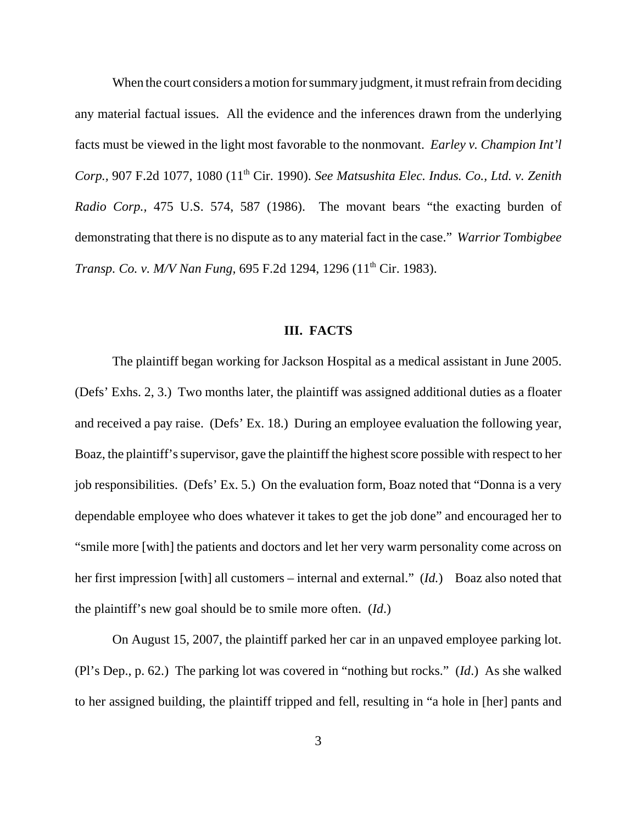When the court considers a motion for summary judgment, it must refrain from deciding any material factual issues. All the evidence and the inferences drawn from the underlying facts must be viewed in the light most favorable to the nonmovant. *Earley v. Champion Int'l Corp.,* 907 F.2d 1077, 1080 (11th Cir. 1990). *See Matsushita Elec. Indus. Co., Ltd. v. Zenith Radio Corp.,* 475 U.S. 574, 587 (1986). The movant bears "the exacting burden of demonstrating that there is no dispute as to any material fact in the case." *Warrior Tombigbee Transp. Co. v. M/V Nan Fung,* 695 F.2d 1294, 1296 (11<sup>th</sup> Cir. 1983).

## **III. FACTS**

The plaintiff began working for Jackson Hospital as a medical assistant in June 2005. (Defs' Exhs. 2, 3.) Two months later, the plaintiff was assigned additional duties as a floater and received a pay raise. (Defs' Ex. 18.) During an employee evaluation the following year, Boaz, the plaintiff's supervisor, gave the plaintiff the highest score possible with respect to her job responsibilities. (Defs' Ex. 5.) On the evaluation form, Boaz noted that "Donna is a very dependable employee who does whatever it takes to get the job done" and encouraged her to "smile more [with] the patients and doctors and let her very warm personality come across on her first impression [with] all customers – internal and external." (*Id.*) Boaz also noted that the plaintiff's new goal should be to smile more often. (*Id*.)

On August 15, 2007, the plaintiff parked her car in an unpaved employee parking lot. (Pl's Dep., p. 62.) The parking lot was covered in "nothing but rocks." (*Id*.) As she walked to her assigned building, the plaintiff tripped and fell, resulting in "a hole in [her] pants and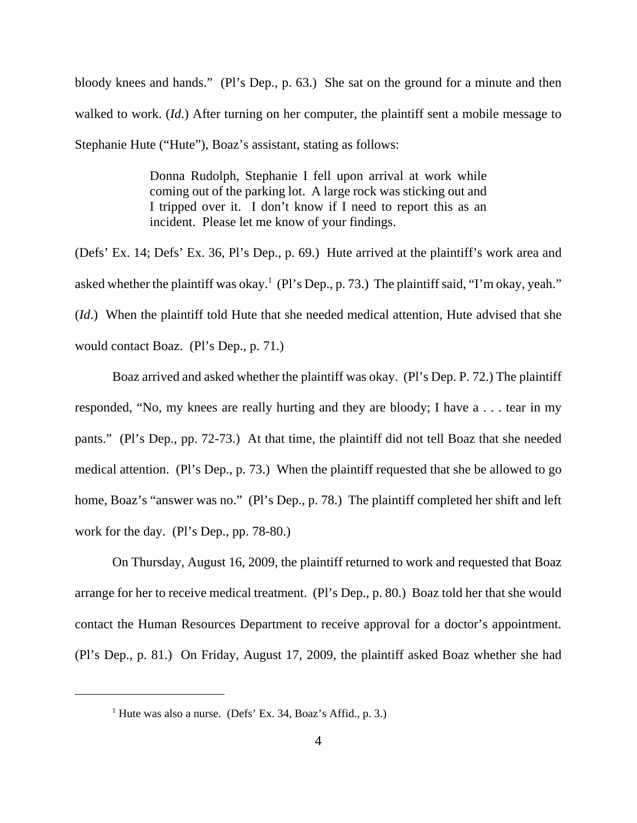bloody knees and hands." (Pl's Dep., p. 63.) She sat on the ground for a minute and then walked to work. (*Id*.) After turning on her computer, the plaintiff sent a mobile message to Stephanie Hute ("Hute"), Boaz's assistant, stating as follows:

> Donna Rudolph, Stephanie I fell upon arrival at work while coming out of the parking lot. A large rock was sticking out and I tripped over it. I don't know if I need to report this as an incident. Please let me know of your findings.

(Defs' Ex. 14; Defs' Ex. 36, Pl's Dep., p. 69.) Hute arrived at the plaintiff's work area and asked whether the plaintiff was okay.<sup>1</sup> (Pl's Dep., p. 73.) The plaintiff said, "I'm okay, yeah." (*Id*.) When the plaintiff told Hute that she needed medical attention, Hute advised that she would contact Boaz. (Pl's Dep., p. 71.)

Boaz arrived and asked whether the plaintiff was okay. (Pl's Dep. P. 72.) The plaintiff responded, "No, my knees are really hurting and they are bloody; I have a . . . tear in my pants." (Pl's Dep., pp. 72-73.) At that time, the plaintiff did not tell Boaz that she needed medical attention. (Pl's Dep., p. 73.) When the plaintiff requested that she be allowed to go home, Boaz's "answer was no." (Pl's Dep., p. 78.) The plaintiff completed her shift and left work for the day. (Pl's Dep., pp. 78-80.)

On Thursday, August 16, 2009, the plaintiff returned to work and requested that Boaz arrange for her to receive medical treatment. (Pl's Dep., p. 80.) Boaz told her that she would contact the Human Resources Department to receive approval for a doctor's appointment. (Pl's Dep., p. 81.) On Friday, August 17, 2009, the plaintiff asked Boaz whether she had

<sup>&</sup>lt;sup>1</sup> Hute was also a nurse. (Defs' Ex. 34, Boaz's Affid., p. 3.)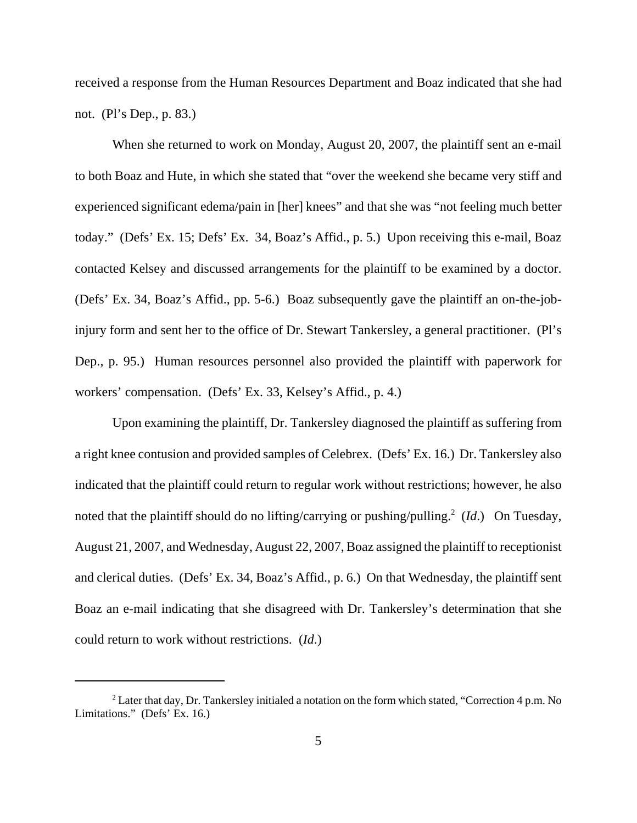received a response from the Human Resources Department and Boaz indicated that she had not. (Pl's Dep., p. 83.)

When she returned to work on Monday, August 20, 2007, the plaintiff sent an e-mail to both Boaz and Hute, in which she stated that "over the weekend she became very stiff and experienced significant edema/pain in [her] knees" and that she was "not feeling much better today." (Defs' Ex. 15; Defs' Ex. 34, Boaz's Affid., p. 5.) Upon receiving this e-mail, Boaz contacted Kelsey and discussed arrangements for the plaintiff to be examined by a doctor. (Defs' Ex. 34, Boaz's Affid., pp. 5-6.) Boaz subsequently gave the plaintiff an on-the-jobinjury form and sent her to the office of Dr. Stewart Tankersley, a general practitioner. (Pl's Dep., p. 95.) Human resources personnel also provided the plaintiff with paperwork for workers' compensation. (Defs' Ex. 33, Kelsey's Affid., p. 4.)

Upon examining the plaintiff, Dr. Tankersley diagnosed the plaintiff as suffering from a right knee contusion and provided samples of Celebrex. (Defs' Ex. 16.) Dr. Tankersley also indicated that the plaintiff could return to regular work without restrictions; however, he also noted that the plaintiff should do no lifting/carrying or pushing/pulling.<sup>2</sup> (Id.) On Tuesday, August 21, 2007, and Wednesday, August 22, 2007, Boaz assigned the plaintiff to receptionist and clerical duties. (Defs' Ex. 34, Boaz's Affid., p. 6.) On that Wednesday, the plaintiff sent Boaz an e-mail indicating that she disagreed with Dr. Tankersley's determination that she could return to work without restrictions. (*Id*.)

 $2^2$  Later that day, Dr. Tankersley initialed a notation on the form which stated, "Correction 4 p.m. No Limitations." (Defs' Ex. 16.)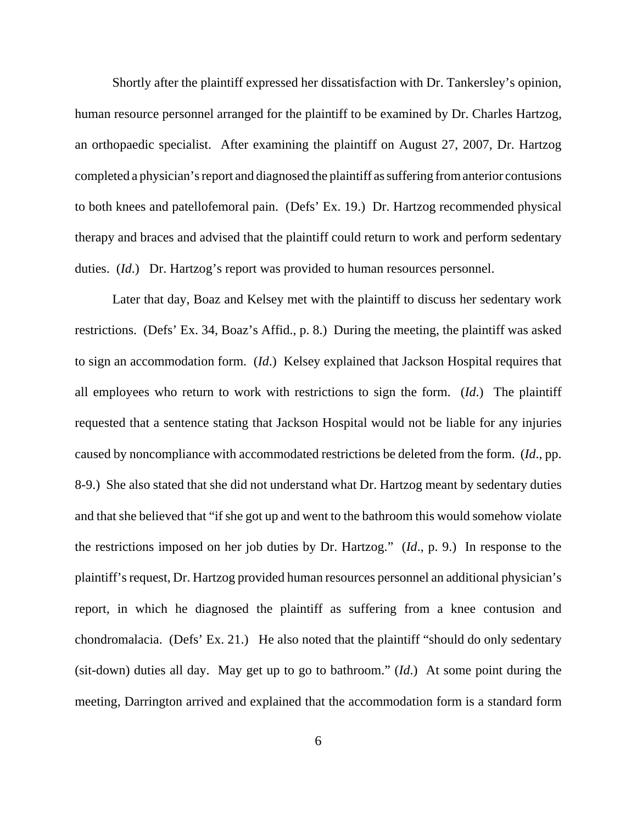Shortly after the plaintiff expressed her dissatisfaction with Dr. Tankersley's opinion, human resource personnel arranged for the plaintiff to be examined by Dr. Charles Hartzog, an orthopaedic specialist. After examining the plaintiff on August 27, 2007, Dr. Hartzog completed a physician's report and diagnosed the plaintiff as suffering from anterior contusions to both knees and patellofemoral pain. (Defs' Ex. 19.) Dr. Hartzog recommended physical therapy and braces and advised that the plaintiff could return to work and perform sedentary duties. (*Id.*) Dr. Hartzog's report was provided to human resources personnel.

Later that day, Boaz and Kelsey met with the plaintiff to discuss her sedentary work restrictions. (Defs' Ex. 34, Boaz's Affid., p. 8.) During the meeting, the plaintiff was asked to sign an accommodation form. (*Id*.) Kelsey explained that Jackson Hospital requires that all employees who return to work with restrictions to sign the form. (*Id*.) The plaintiff requested that a sentence stating that Jackson Hospital would not be liable for any injuries caused by noncompliance with accommodated restrictions be deleted from the form. (*Id*., pp. 8-9.) She also stated that she did not understand what Dr. Hartzog meant by sedentary duties and that she believed that "if she got up and went to the bathroom this would somehow violate the restrictions imposed on her job duties by Dr. Hartzog." (*Id*., p. 9.) In response to the plaintiff's request, Dr. Hartzog provided human resources personnel an additional physician's report, in which he diagnosed the plaintiff as suffering from a knee contusion and chondromalacia. (Defs' Ex. 21.) He also noted that the plaintiff "should do only sedentary (sit-down) duties all day. May get up to go to bathroom." (*Id*.) At some point during the meeting, Darrington arrived and explained that the accommodation form is a standard form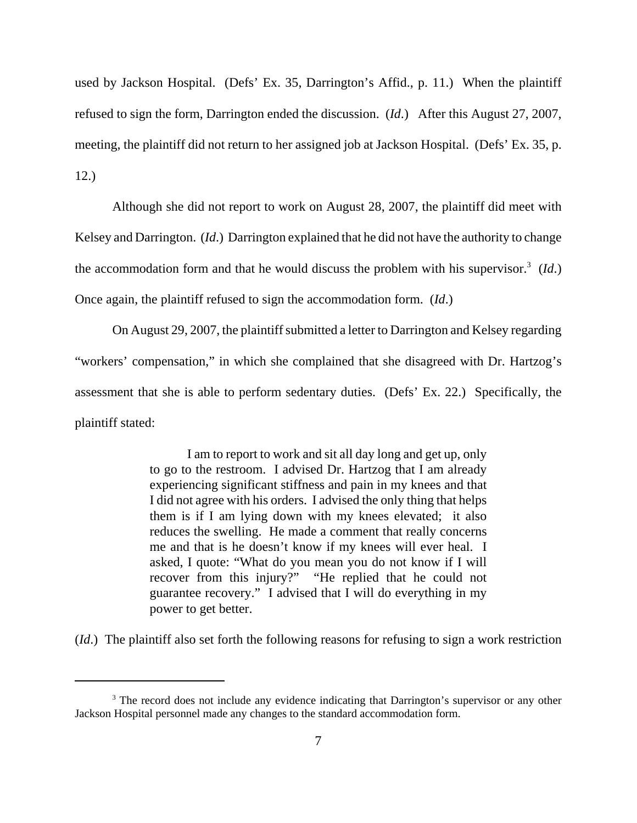used by Jackson Hospital. (Defs' Ex. 35, Darrington's Affid., p. 11.) When the plaintiff refused to sign the form, Darrington ended the discussion. (*Id*.) After this August 27, 2007, meeting, the plaintiff did not return to her assigned job at Jackson Hospital. (Defs' Ex. 35, p. 12.)

Although she did not report to work on August 28, 2007, the plaintiff did meet with Kelsey and Darrington. (*Id*.) Darrington explained that he did not have the authority to change the accommodation form and that he would discuss the problem with his supervisor.<sup>3</sup> (*Id*.) Once again, the plaintiff refused to sign the accommodation form. (*Id*.)

On August 29, 2007, the plaintiff submitted a letter to Darrington and Kelsey regarding "workers' compensation," in which she complained that she disagreed with Dr. Hartzog's assessment that she is able to perform sedentary duties. (Defs' Ex. 22.) Specifically, the plaintiff stated:

> I am to report to work and sit all day long and get up, only to go to the restroom. I advised Dr. Hartzog that I am already experiencing significant stiffness and pain in my knees and that I did not agree with his orders. I advised the only thing that helps them is if I am lying down with my knees elevated; it also reduces the swelling. He made a comment that really concerns me and that is he doesn't know if my knees will ever heal. I asked, I quote: "What do you mean you do not know if I will recover from this injury?" "He replied that he could not guarantee recovery." I advised that I will do everything in my power to get better.

(*Id*.) The plaintiff also set forth the following reasons for refusing to sign a work restriction

<sup>&</sup>lt;sup>3</sup> The record does not include any evidence indicating that Darrington's supervisor or any other Jackson Hospital personnel made any changes to the standard accommodation form.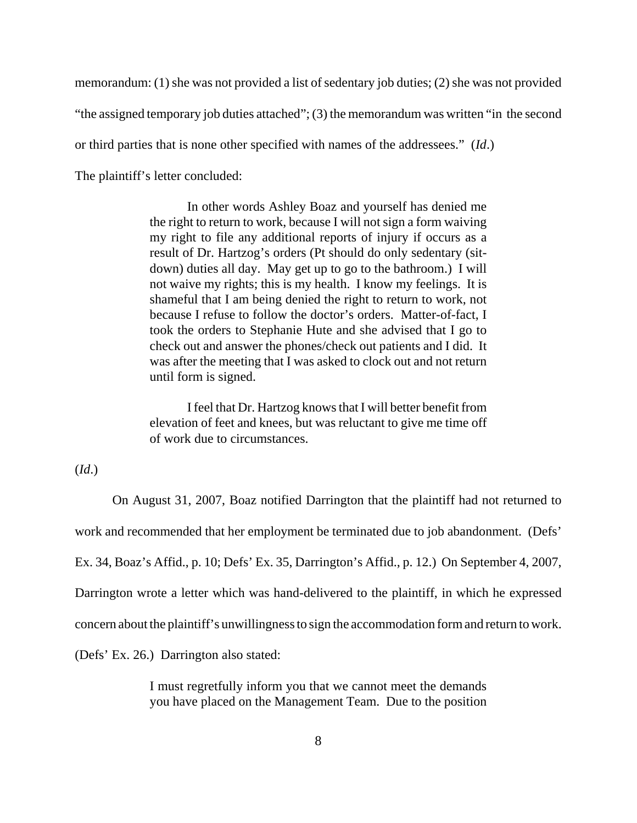memorandum: (1) she was not provided a list of sedentary job duties; (2) she was not provided

"the assigned temporary job duties attached"; (3) the memorandum was written "in the second

or third parties that is none other specified with names of the addressees." (*Id*.)

The plaintiff's letter concluded:

In other words Ashley Boaz and yourself has denied me the right to return to work, because I will not sign a form waiving my right to file any additional reports of injury if occurs as a result of Dr. Hartzog's orders (Pt should do only sedentary (sitdown) duties all day. May get up to go to the bathroom.) I will not waive my rights; this is my health. I know my feelings. It is shameful that I am being denied the right to return to work, not because I refuse to follow the doctor's orders. Matter-of-fact, I took the orders to Stephanie Hute and she advised that I go to check out and answer the phones/check out patients and I did. It was after the meeting that I was asked to clock out and not return until form is signed.

I feel that Dr. Hartzog knows that I will better benefit from elevation of feet and knees, but was reluctant to give me time off of work due to circumstances.

(*Id*.)

On August 31, 2007, Boaz notified Darrington that the plaintiff had not returned to work and recommended that her employment be terminated due to job abandonment. (Defs' Ex. 34, Boaz's Affid., p. 10; Defs' Ex. 35, Darrington's Affid., p. 12.) On September 4, 2007, Darrington wrote a letter which was hand-delivered to the plaintiff, in which he expressed concern about the plaintiff's unwillingness to sign the accommodation form and return to work.

(Defs' Ex. 26.) Darrington also stated:

I must regretfully inform you that we cannot meet the demands you have placed on the Management Team. Due to the position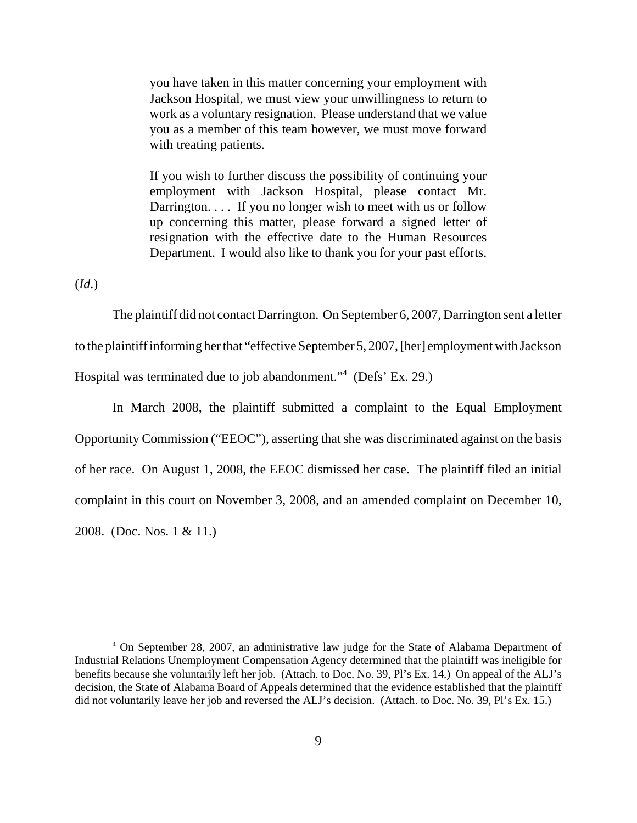you have taken in this matter concerning your employment with Jackson Hospital, we must view your unwillingness to return to work as a voluntary resignation. Please understand that we value you as a member of this team however, we must move forward with treating patients.

If you wish to further discuss the possibility of continuing your employment with Jackson Hospital, please contact Mr. Darrington. . . . If you no longer wish to meet with us or follow up concerning this matter, please forward a signed letter of resignation with the effective date to the Human Resources Department. I would also like to thank you for your past efforts.

(*Id*.)

The plaintiff did not contact Darrington. On September 6, 2007, Darrington sent a letter to the plaintiff informing her that "effective September 5, 2007, [her] employment with Jackson Hospital was terminated due to job abandonment."<sup>4</sup> (Defs' Ex. 29.)

In March 2008, the plaintiff submitted a complaint to the Equal Employment Opportunity Commission ("EEOC"), asserting that she was discriminated against on the basis of her race. On August 1, 2008, the EEOC dismissed her case. The plaintiff filed an initial complaint in this court on November 3, 2008, and an amended complaint on December 10, 2008. (Doc. Nos. 1 & 11.)

<sup>&</sup>lt;sup>4</sup> On September 28, 2007, an administrative law judge for the State of Alabama Department of Industrial Relations Unemployment Compensation Agency determined that the plaintiff was ineligible for benefits because she voluntarily left her job. (Attach. to Doc. No. 39, Pl's Ex. 14.) On appeal of the ALJ's decision, the State of Alabama Board of Appeals determined that the evidence established that the plaintiff did not voluntarily leave her job and reversed the ALJ's decision. (Attach. to Doc. No. 39, Pl's Ex. 15.)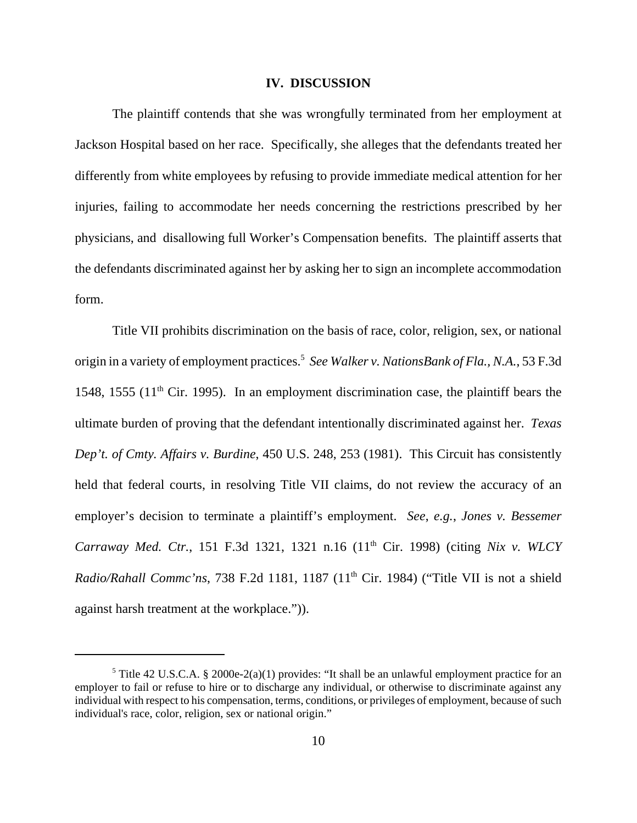#### **IV. DISCUSSION**

The plaintiff contends that she was wrongfully terminated from her employment at Jackson Hospital based on her race. Specifically, she alleges that the defendants treated her differently from white employees by refusing to provide immediate medical attention for her injuries, failing to accommodate her needs concerning the restrictions prescribed by her physicians, and disallowing full Worker's Compensation benefits. The plaintiff asserts that the defendants discriminated against her by asking her to sign an incomplete accommodation form.

Title VII prohibits discrimination on the basis of race, color, religion, sex, or national origin in a variety of employment practices.<sup>5</sup> *See Walker v. NationsBank of Fla., N.A.*, 53 F.3d 1548, 1555 (11<sup>th</sup> Cir. 1995). In an employment discrimination case, the plaintiff bears the ultimate burden of proving that the defendant intentionally discriminated against her. *Texas Dep't. of Cmty. Affairs v. Burdine*, 450 U.S. 248, 253 (1981). This Circuit has consistently held that federal courts, in resolving Title VII claims, do not review the accuracy of an employer's decision to terminate a plaintiff's employment. *See*, *e.g.*, *Jones v. Bessemer Carraway Med. Ctr.*, 151 F.3d 1321, 1321 n.16 (11th Cir. 1998) (citing *Nix v. WLCY Radio/Rahall Commc'ns*, 738 F.2d 1181, 1187 (11<sup>th</sup> Cir. 1984) ("Title VII is not a shield against harsh treatment at the workplace.")).

<sup>&</sup>lt;sup>5</sup> Title 42 U.S.C.A. § 2000e-2(a)(1) provides: "It shall be an unlawful employment practice for an employer to fail or refuse to hire or to discharge any individual, or otherwise to discriminate against any individual with respect to his compensation, terms, conditions, or privileges of employment, because of such individual's race, color, religion, sex or national origin."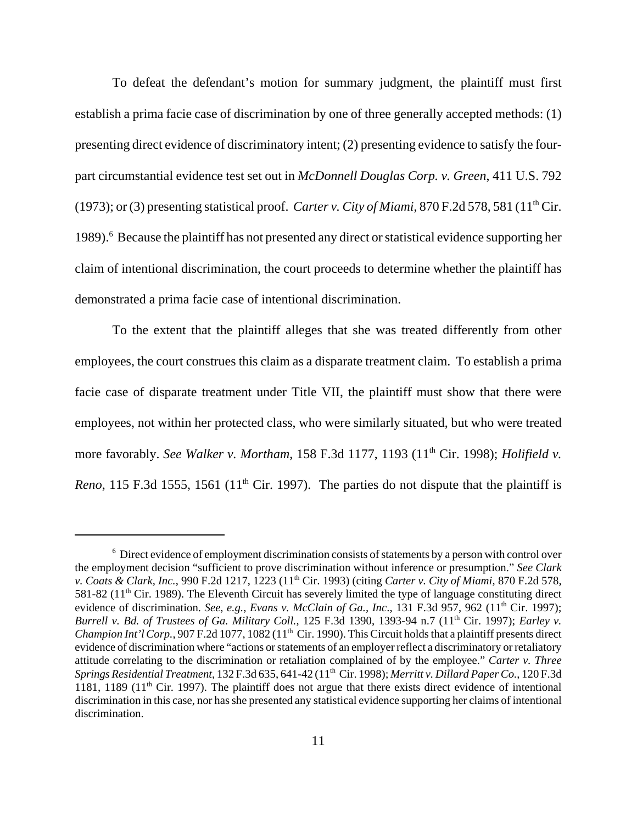To defeat the defendant's motion for summary judgment, the plaintiff must first establish a prima facie case of discrimination by one of three generally accepted methods: (1) presenting direct evidence of discriminatory intent; (2) presenting evidence to satisfy the fourpart circumstantial evidence test set out in *McDonnell Douglas Corp. v. Green*, 411 U.S. 792 (1973); or (3) presenting statistical proof. *Carter v. City of Miami*, 870 F.2d 578, 581 (11<sup>th</sup> Cir. 1989).<sup>6</sup> Because the plaintiff has not presented any direct or statistical evidence supporting her claim of intentional discrimination, the court proceeds to determine whether the plaintiff has demonstrated a prima facie case of intentional discrimination.

To the extent that the plaintiff alleges that she was treated differently from other employees, the court construes this claim as a disparate treatment claim. To establish a prima facie case of disparate treatment under Title VII, the plaintiff must show that there were employees, not within her protected class, who were similarly situated, but who were treated more favorably. *See Walker v. Mortham*, 158 F.3d 1177, 1193 (11th Cir. 1998); *Holifield v. Reno*, 115 F.3d 1555, 1561 ( $11<sup>th</sup>$  Cir. 1997). The parties do not dispute that the plaintiff is

<sup>&</sup>lt;sup>6</sup> Direct evidence of employment discrimination consists of statements by a person with control over the employment decision "sufficient to prove discrimination without inference or presumption." *See Clark v. Coats & Clark, Inc., 990 F.2d 1217, 1223 (11<sup>th</sup> Cir. 1993) (citing <i>Carter v. City of Miami, 870 F.2d 578,* 581-82 ( $11<sup>th</sup>$  Cir. 1989). The Eleventh Circuit has severely limited the type of language constituting direct evidence of discrimination. *See, e.g., Evans v. McClain of Ga., Inc.*, 131 F.3d 957, 962 (11<sup>th</sup> Cir. 1997); *Burrell v. Bd. of Trustees of Ga. Military Coll.*, 125 F.3d 1390, 1393-94 n.7 (11th Cir. 1997); *Earley v. Champion Int'l Corp.*, 907 F.2d 1077, 1082 (11<sup>th</sup> Cir. 1990). This Circuit holds that a plaintiff presents direct evidence of discrimination where "actions or statements of an employer reflect a discriminatory or retaliatory attitude correlating to the discrimination or retaliation complained of by the employee." *Carter v. Three Springs Residential Treatment*, 132 F.3d 635, 641-42 (11th Cir. 1998); *Merritt v. Dillard Paper Co.*, 120 F.3d 1181, 1189 ( $11<sup>th</sup>$  Cir. 1997). The plaintiff does not argue that there exists direct evidence of intentional discrimination in this case, nor has she presented any statistical evidence supporting her claims of intentional discrimination.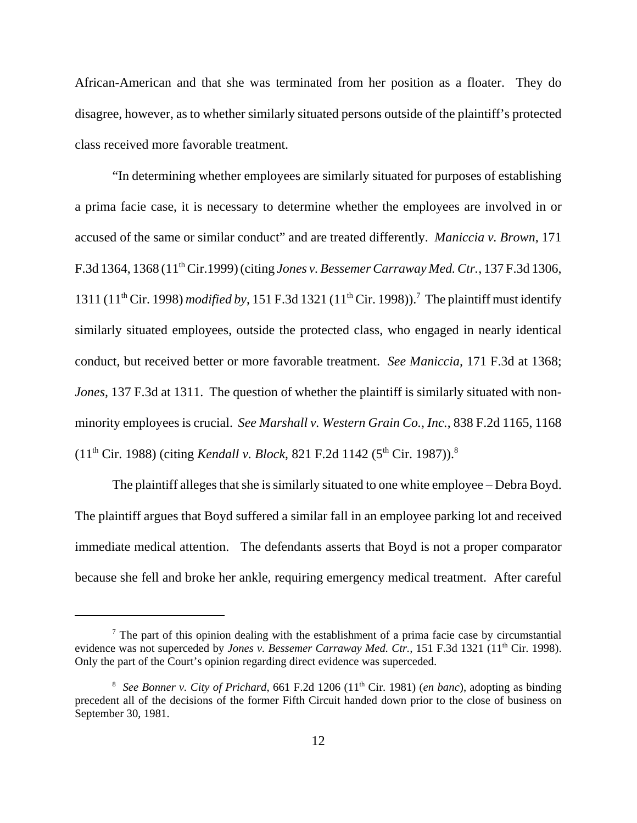African-American and that she was terminated from her position as a floater. They do disagree, however, as to whether similarly situated persons outside of the plaintiff's protected class received more favorable treatment.

"In determining whether employees are similarly situated for purposes of establishing a prima facie case, it is necessary to determine whether the employees are involved in or accused of the same or similar conduct" and are treated differently. *Maniccia v. Brown*, 171 F.3d 1364, 1368 (11th Cir.1999) (citing *Jones v. Bessemer Carraway Med. Ctr.*, 137 F.3d 1306, 1311 (11<sup>th</sup> Cir. 1998) *modified by*, 151 F.3d 1321 (11<sup>th</sup> Cir. 1998)).<sup>7</sup> The plaintiff must identify similarly situated employees, outside the protected class, who engaged in nearly identical conduct, but received better or more favorable treatment. *See Maniccia,* 171 F.3d at 1368; *Jones*, 137 F.3d at 1311. The question of whether the plaintiff is similarly situated with nonminority employees is crucial. *See Marshall v. Western Grain Co., Inc.*, 838 F.2d 1165, 1168  $(11<sup>th</sup> Cir. 1988)$  (citing *Kendall v. Block*, 821 F.2d 1142 (5<sup>th</sup> Cir. 1987)).<sup>8</sup>

The plaintiff alleges that she is similarly situated to one white employee – Debra Boyd. The plaintiff argues that Boyd suffered a similar fall in an employee parking lot and received immediate medical attention. The defendants asserts that Boyd is not a proper comparator because she fell and broke her ankle, requiring emergency medical treatment. After careful

 $<sup>7</sup>$  The part of this opinion dealing with the establishment of a prima facie case by circumstantial</sup> evidence was not superceded by *Jones v. Bessemer Carraway Med. Ctr.*, 151 F.3d 1321 (11<sup>th</sup> Cir. 1998). Only the part of the Court's opinion regarding direct evidence was superceded.

<sup>&</sup>lt;sup>8</sup> See Bonner v. City of Prichard, 661 F.2d 1206 (11<sup>th</sup> Cir. 1981) (*en banc*), adopting as binding precedent all of the decisions of the former Fifth Circuit handed down prior to the close of business on September 30, 1981.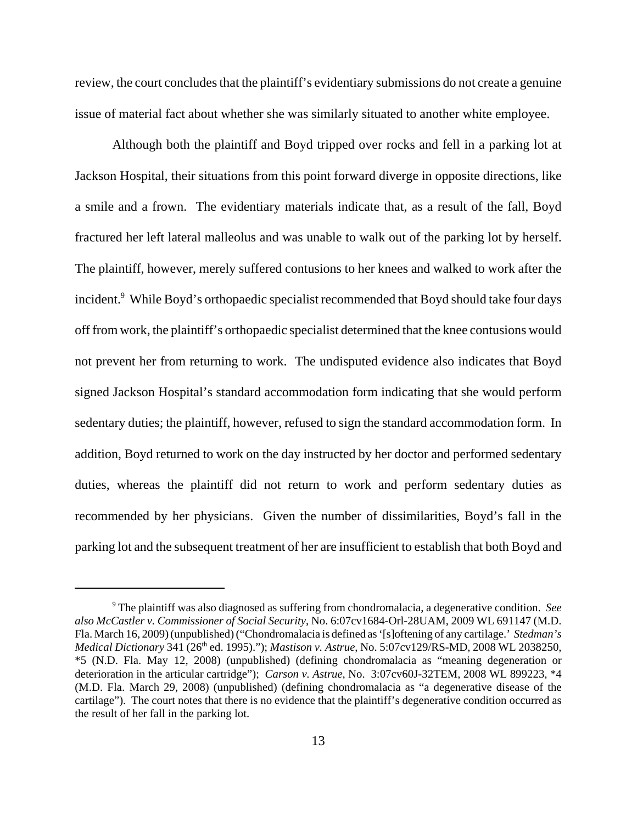review, the court concludes that the plaintiff's evidentiary submissions do not create a genuine issue of material fact about whether she was similarly situated to another white employee.

Although both the plaintiff and Boyd tripped over rocks and fell in a parking lot at Jackson Hospital, their situations from this point forward diverge in opposite directions, like a smile and a frown. The evidentiary materials indicate that, as a result of the fall, Boyd fractured her left lateral malleolus and was unable to walk out of the parking lot by herself. The plaintiff, however, merely suffered contusions to her knees and walked to work after the incident.<sup>9</sup> While Boyd's orthopaedic specialist recommended that Boyd should take four days off from work, the plaintiff's orthopaedic specialist determined that the knee contusions would not prevent her from returning to work. The undisputed evidence also indicates that Boyd signed Jackson Hospital's standard accommodation form indicating that she would perform sedentary duties; the plaintiff, however, refused to sign the standard accommodation form. In addition, Boyd returned to work on the day instructed by her doctor and performed sedentary duties, whereas the plaintiff did not return to work and perform sedentary duties as recommended by her physicians. Given the number of dissimilarities, Boyd's fall in the parking lot and the subsequent treatment of her are insufficient to establish that both Boyd and

<sup>9</sup> The plaintiff was also diagnosed as suffering from chondromalacia, a degenerative condition. *See also McCastler v. Commissioner of Social Security*, No. 6:07cv1684-Orl-28UAM, 2009 WL 691147 (M.D. Fla. March 16, 2009) (unpublished) ("Chondromalacia is defined as '[s]oftening of any cartilage.' *Stedman's Medical Dictionary* 341 (26th ed. 1995)."); *Mastison v. Astrue*, No. 5:07cv129/RS-MD, 2008 WL 2038250, \*5 (N.D. Fla. May 12, 2008) (unpublished) (defining chondromalacia as "meaning degeneration or deterioration in the articular cartridge"); *Carson v. Astrue*, No. 3:07cv60J-32TEM, 2008 WL 899223, \*4 (M.D. Fla. March 29, 2008) (unpublished) (defining chondromalacia as "a degenerative disease of the cartilage"). The court notes that there is no evidence that the plaintiff's degenerative condition occurred as the result of her fall in the parking lot.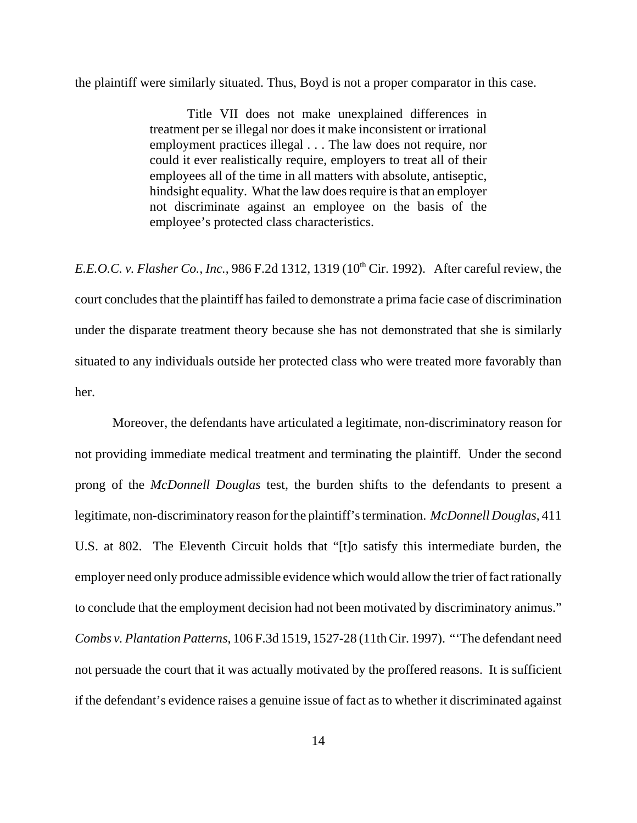the plaintiff were similarly situated. Thus, Boyd is not a proper comparator in this case.

Title VII does not make unexplained differences in treatment per se illegal nor does it make inconsistent or irrational employment practices illegal . . . The law does not require, nor could it ever realistically require, employers to treat all of their employees all of the time in all matters with absolute, antiseptic, hindsight equality. What the law does require is that an employer not discriminate against an employee on the basis of the employee's protected class characteristics.

*E.E.O.C. v. Flasher Co., Inc., 986 F.2d 1312, 1319 (10<sup>th</sup> Cir. 1992). After careful review, the* court concludes that the plaintiff has failed to demonstrate a prima facie case of discrimination under the disparate treatment theory because she has not demonstrated that she is similarly situated to any individuals outside her protected class who were treated more favorably than her.

Moreover, the defendants have articulated a legitimate, non-discriminatory reason for not providing immediate medical treatment and terminating the plaintiff. Under the second prong of the *McDonnell Douglas* test, the burden shifts to the defendants to present a legitimate, non-discriminatory reason for the plaintiff's termination. *McDonnell Douglas*, 411 U.S. at 802. The Eleventh Circuit holds that "[t]o satisfy this intermediate burden, the employer need only produce admissible evidence which would allow the trier of fact rationally to conclude that the employment decision had not been motivated by discriminatory animus." *Combs v. Plantation Patterns*, 106 F.3d 1519, 1527-28 (11th Cir. 1997). "'The defendant need not persuade the court that it was actually motivated by the proffered reasons. It is sufficient if the defendant's evidence raises a genuine issue of fact as to whether it discriminated against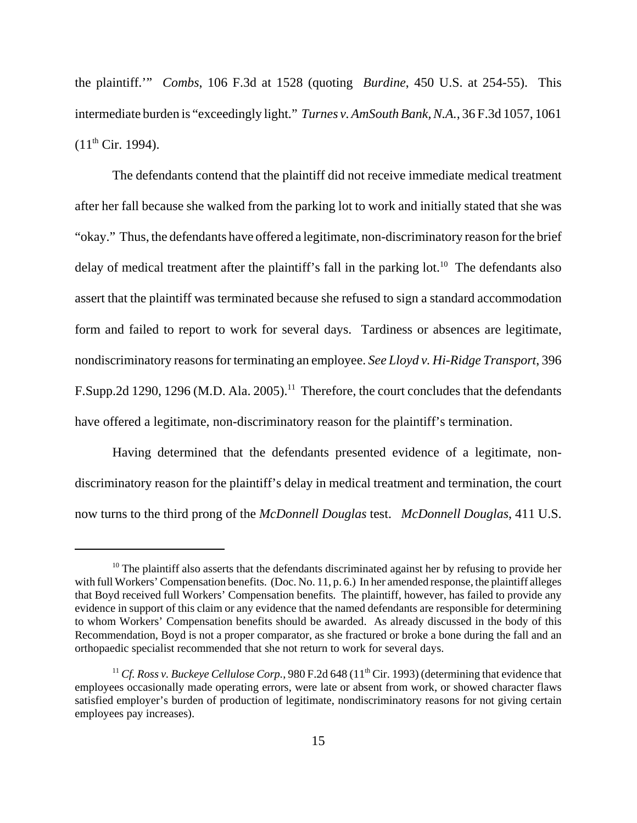the plaintiff.'" *Combs*, 106 F.3d at 1528 (quoting *Burdine*, 450 U.S. at 254-55). This intermediate burden is "exceedingly light." *Turnes v. AmSouth Bank, N.A.*, 36 F.3d 1057, 1061  $(11^{th}$  Cir. 1994).

The defendants contend that the plaintiff did not receive immediate medical treatment after her fall because she walked from the parking lot to work and initially stated that she was "okay." Thus, the defendants have offered a legitimate, non-discriminatory reason for the brief delay of medical treatment after the plaintiff's fall in the parking  $\text{lot.}^{10}$  The defendants also assert that the plaintiff was terminated because she refused to sign a standard accommodation form and failed to report to work for several days. Tardiness or absences are legitimate, nondiscriminatory reasons for terminating an employee. *See Lloyd v. Hi-Ridge Transport*, 396 F.Supp.2d 1290, 1296 (M.D. Ala. 2005).<sup>11</sup> Therefore, the court concludes that the defendants have offered a legitimate, non-discriminatory reason for the plaintiff's termination.

Having determined that the defendants presented evidence of a legitimate, nondiscriminatory reason for the plaintiff's delay in medical treatment and termination, the court now turns to the third prong of the *McDonnell Douglas* test. *McDonnell Douglas*, 411 U.S.

 $10$  The plaintiff also asserts that the defendants discriminated against her by refusing to provide her with full Workers' Compensation benefits. (Doc. No. 11, p. 6.) In her amended response, the plaintiff alleges that Boyd received full Workers' Compensation benefits. The plaintiff, however, has failed to provide any evidence in support of this claim or any evidence that the named defendants are responsible for determining to whom Workers' Compensation benefits should be awarded. As already discussed in the body of this Recommendation, Boyd is not a proper comparator, as she fractured or broke a bone during the fall and an orthopaedic specialist recommended that she not return to work for several days.

<sup>&</sup>lt;sup>11</sup> *Cf. Ross v. Buckeye Cellulose Corp.*, 980 F.2d 648 ( $11<sup>th</sup>$  Cir. 1993) (determining that evidence that employees occasionally made operating errors, were late or absent from work, or showed character flaws satisfied employer's burden of production of legitimate, nondiscriminatory reasons for not giving certain employees pay increases).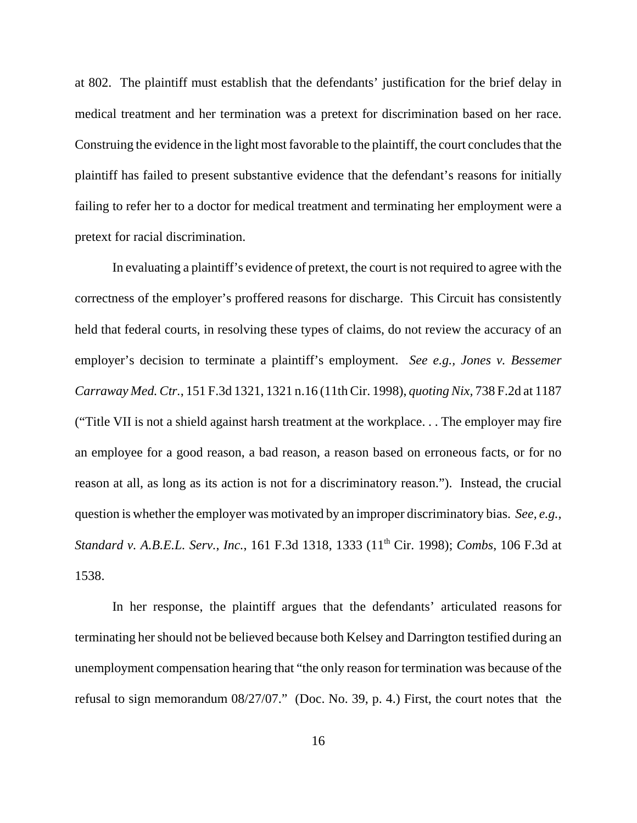at 802. The plaintiff must establish that the defendants' justification for the brief delay in medical treatment and her termination was a pretext for discrimination based on her race. Construing the evidence in the light most favorable to the plaintiff, the court concludes that the plaintiff has failed to present substantive evidence that the defendant's reasons for initially failing to refer her to a doctor for medical treatment and terminating her employment were a pretext for racial discrimination.

In evaluating a plaintiff's evidence of pretext, the court is not required to agree with the correctness of the employer's proffered reasons for discharge. This Circuit has consistently held that federal courts, in resolving these types of claims, do not review the accuracy of an employer's decision to terminate a plaintiff's employment. *See e.g., Jones v. Bessemer Carraway Med. Ctr.*, 151 F.3d 1321, 1321 n.16 (11th Cir. 1998), *quoting Nix,* 738 F.2d at 1187 ("Title VII is not a shield against harsh treatment at the workplace. . . The employer may fire an employee for a good reason, a bad reason, a reason based on erroneous facts, or for no reason at all, as long as its action is not for a discriminatory reason.").Instead, the crucial question is whether the employer was motivated by an improper discriminatory bias. *See, e.g., Standard v. A.B.E.L. Serv.*, *Inc.*, 161 F.3d 1318, 1333 (11th Cir. 1998); *Combs*, 106 F.3d at 1538.

 In her response, the plaintiff argues that the defendants' articulated reasons for terminating her should not be believed because both Kelsey and Darrington testified during an unemployment compensation hearing that "the only reason for termination was because of the refusal to sign memorandum 08/27/07." (Doc. No. 39, p. 4.) First, the court notes that the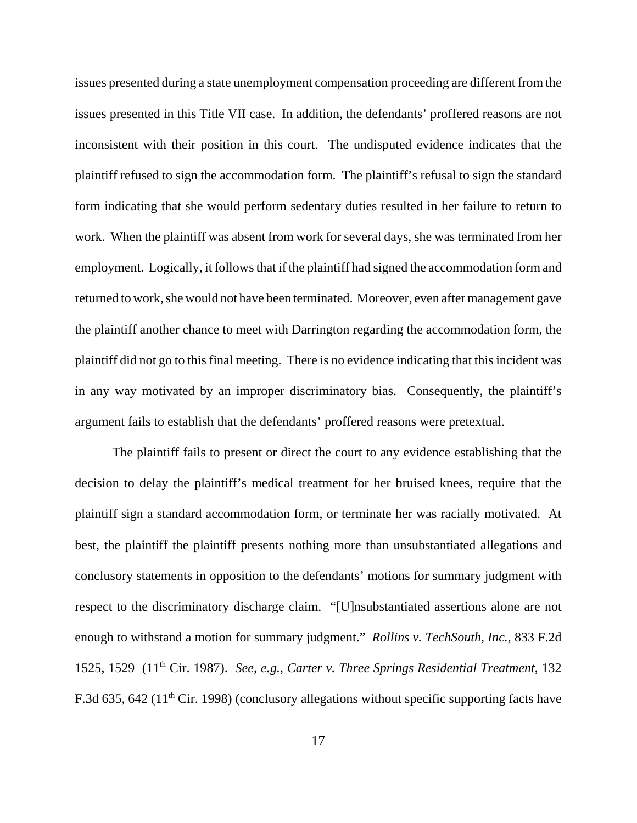issues presented during a state unemployment compensation proceeding are different from the issues presented in this Title VII case. In addition, the defendants' proffered reasons are not inconsistent with their position in this court. The undisputed evidence indicates that the plaintiff refused to sign the accommodation form. The plaintiff's refusal to sign the standard form indicating that she would perform sedentary duties resulted in her failure to return to work. When the plaintiff was absent from work for several days, she was terminated from her employment. Logically, it follows that if the plaintiff had signed the accommodation form and returned to work, she would not have been terminated. Moreover, even after management gave the plaintiff another chance to meet with Darrington regarding the accommodation form, the plaintiff did not go to this final meeting. There is no evidence indicating that this incident was in any way motivated by an improper discriminatory bias. Consequently, the plaintiff's argument fails to establish that the defendants' proffered reasons were pretextual.

The plaintiff fails to present or direct the court to any evidence establishing that the decision to delay the plaintiff's medical treatment for her bruised knees, require that the plaintiff sign a standard accommodation form, or terminate her was racially motivated. At best, the plaintiff the plaintiff presents nothing more than unsubstantiated allegations and conclusory statements in opposition to the defendants' motions for summary judgment with respect to the discriminatory discharge claim. "[U]nsubstantiated assertions alone are not enough to withstand a motion for summary judgment." *Rollins v. TechSouth, Inc.*, 833 F.2d 1525, 1529 (11th Cir. 1987). *See, e.g.*, *Carter v. Three Springs Residential Treatment*, 132 F.3d 635, 642 ( $11<sup>th</sup>$  Cir. 1998) (conclusory allegations without specific supporting facts have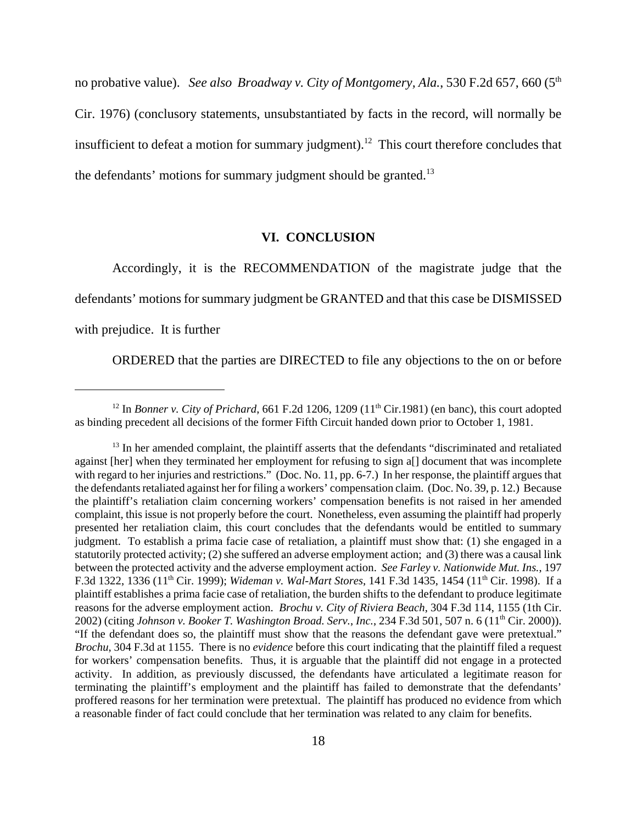no probative value). *See also Broadway v. City of Montgomery, Ala.*, 530 F.2d 657, 660 (5<sup>th</sup> Cir. 1976) (conclusory statements, unsubstantiated by facts in the record, will normally be insufficient to defeat a motion for summary judgment).<sup>12</sup> This court therefore concludes that the defendants' motions for summary judgment should be granted.<sup>13</sup>

## **VI. CONCLUSION**

Accordingly, it is the RECOMMENDATION of the magistrate judge that the defendants' motions for summary judgment be GRANTED and that this case be DISMISSED with prejudice. It is further

ORDERED that the parties are DIRECTED to file any objections to the on or before

<sup>&</sup>lt;sup>12</sup> In *Bonner v. City of Prichard*, 661 F.2d 1206, 1209 ( $11<sup>th</sup> Cir.1981$ ) (en banc), this court adopted as binding precedent all decisions of the former Fifth Circuit handed down prior to October 1, 1981.

<sup>&</sup>lt;sup>13</sup> In her amended complaint, the plaintiff asserts that the defendants "discriminated and retaliated against [her] when they terminated her employment for refusing to sign a[] document that was incomplete with regard to her injuries and restrictions." (Doc. No. 11, pp. 6-7.) In her response, the plaintiff argues that the defendants retaliated against her for filing a workers' compensation claim. (Doc. No. 39, p. 12.) Because the plaintiff's retaliation claim concerning workers' compensation benefits is not raised in her amended complaint, this issue is not properly before the court. Nonetheless, even assuming the plaintiff had properly presented her retaliation claim, this court concludes that the defendants would be entitled to summary judgment. To establish a prima facie case of retaliation, a plaintiff must show that: (1) she engaged in a statutorily protected activity; (2) she suffered an adverse employment action; and (3) there was a causal link between the protected activity and the adverse employment action. *See Farley v. Nationwide Mut. Ins.*, 197 F.3d 1322, 1336 (11th Cir. 1999); *Wideman v. Wal-Mart Stores*, 141 F.3d 1435, 1454 (11th Cir. 1998). If a plaintiff establishes a prima facie case of retaliation, the burden shifts to the defendant to produce legitimate reasons for the adverse employment action. *Brochu v. City of Riviera Beach*, 304 F.3d 114, 1155 (1th Cir. 2002) (citing *Johnson v. Booker T. Washington Broad. Serv.*, *Inc.*, 234 F.3d 501, 507 n. 6 (11th Cir. 2000)). "If the defendant does so, the plaintiff must show that the reasons the defendant gave were pretextual." *Brochu*, 304 F.3d at 1155. There is no *evidence* before this court indicating that the plaintiff filed a request for workers' compensation benefits. Thus, it is arguable that the plaintiff did not engage in a protected activity. In addition, as previously discussed, the defendants have articulated a legitimate reason for terminating the plaintiff's employment and the plaintiff has failed to demonstrate that the defendants' proffered reasons for her termination were pretextual. The plaintiff has produced no evidence from which a reasonable finder of fact could conclude that her termination was related to any claim for benefits.